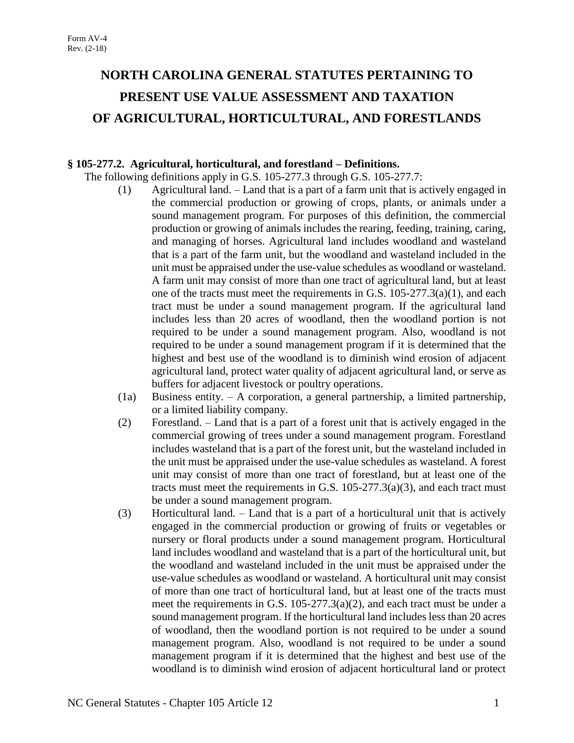# **NORTH CAROLINA GENERAL STATUTES PERTAINING TO PRESENT USE VALUE ASSESSMENT AND TAXATION OF AGRICULTURAL, HORTICULTURAL, AND FORESTLANDS**

# **§ 105-277.2. Agricultural, horticultural, and forestland – Definitions.**

The following definitions apply in G.S. 105-277.3 through G.S. 105-277.7:

- (1) Agricultural land. Land that is a part of a farm unit that is actively engaged in the commercial production or growing of crops, plants, or animals under a sound management program. For purposes of this definition, the commercial production or growing of animals includes the rearing, feeding, training, caring, and managing of horses. Agricultural land includes woodland and wasteland that is a part of the farm unit, but the woodland and wasteland included in the unit must be appraised under the use-value schedules as woodland or wasteland. A farm unit may consist of more than one tract of agricultural land, but at least one of the tracts must meet the requirements in G.S. 105-277.3(a)(1), and each tract must be under a sound management program. If the agricultural land includes less than 20 acres of woodland, then the woodland portion is not required to be under a sound management program. Also, woodland is not required to be under a sound management program if it is determined that the highest and best use of the woodland is to diminish wind erosion of adjacent agricultural land, protect water quality of adjacent agricultural land, or serve as buffers for adjacent livestock or poultry operations.
- (1a) Business entity. A corporation, a general partnership, a limited partnership, or a limited liability company.
- (2) Forestland. Land that is a part of a forest unit that is actively engaged in the commercial growing of trees under a sound management program. Forestland includes wasteland that is a part of the forest unit, but the wasteland included in the unit must be appraised under the use-value schedules as wasteland. A forest unit may consist of more than one tract of forestland, but at least one of the tracts must meet the requirements in G.S.  $105-277.3(a)(3)$ , and each tract must be under a sound management program.
- (3) Horticultural land. Land that is a part of a horticultural unit that is actively engaged in the commercial production or growing of fruits or vegetables or nursery or floral products under a sound management program. Horticultural land includes woodland and wasteland that is a part of the horticultural unit, but the woodland and wasteland included in the unit must be appraised under the use-value schedules as woodland or wasteland. A horticultural unit may consist of more than one tract of horticultural land, but at least one of the tracts must meet the requirements in G.S. 105-277.3(a)(2), and each tract must be under a sound management program. If the horticultural land includes less than 20 acres of woodland, then the woodland portion is not required to be under a sound management program. Also, woodland is not required to be under a sound management program if it is determined that the highest and best use of the woodland is to diminish wind erosion of adjacent horticultural land or protect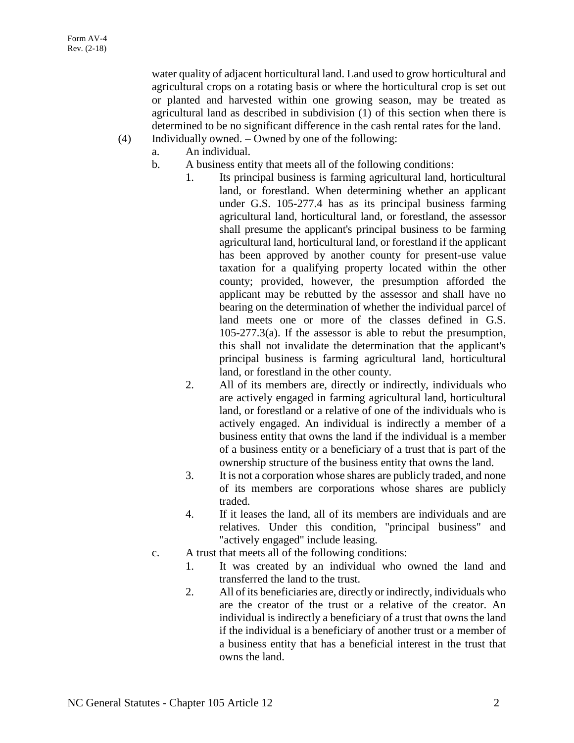water quality of adjacent horticultural land. Land used to grow horticultural and agricultural crops on a rotating basis or where the horticultural crop is set out or planted and harvested within one growing season, may be treated as agricultural land as described in subdivision (1) of this section when there is determined to be no significant difference in the cash rental rates for the land.

- (4) Individually owned. Owned by one of the following:
	- a. An individual.
		- b. A business entity that meets all of the following conditions:
			- 1. Its principal business is farming agricultural land, horticultural land, or forestland. When determining whether an applicant under G.S. 105-277.4 has as its principal business farming agricultural land, horticultural land, or forestland, the assessor shall presume the applicant's principal business to be farming agricultural land, horticultural land, or forestland if the applicant has been approved by another county for present-use value taxation for a qualifying property located within the other county; provided, however, the presumption afforded the applicant may be rebutted by the assessor and shall have no bearing on the determination of whether the individual parcel of land meets one or more of the classes defined in G.S. 105-277.3(a). If the assessor is able to rebut the presumption, this shall not invalidate the determination that the applicant's principal business is farming agricultural land, horticultural land, or forestland in the other county.
			- 2. All of its members are, directly or indirectly, individuals who are actively engaged in farming agricultural land, horticultural land, or forestland or a relative of one of the individuals who is actively engaged. An individual is indirectly a member of a business entity that owns the land if the individual is a member of a business entity or a beneficiary of a trust that is part of the ownership structure of the business entity that owns the land.
			- 3. It is not a corporation whose shares are publicly traded, and none of its members are corporations whose shares are publicly traded.
			- 4. If it leases the land, all of its members are individuals and are relatives. Under this condition, "principal business" and "actively engaged" include leasing.
		- c. A trust that meets all of the following conditions:
			- 1. It was created by an individual who owned the land and transferred the land to the trust.
			- 2. All of its beneficiaries are, directly or indirectly, individuals who are the creator of the trust or a relative of the creator. An individual is indirectly a beneficiary of a trust that owns the land if the individual is a beneficiary of another trust or a member of a business entity that has a beneficial interest in the trust that owns the land.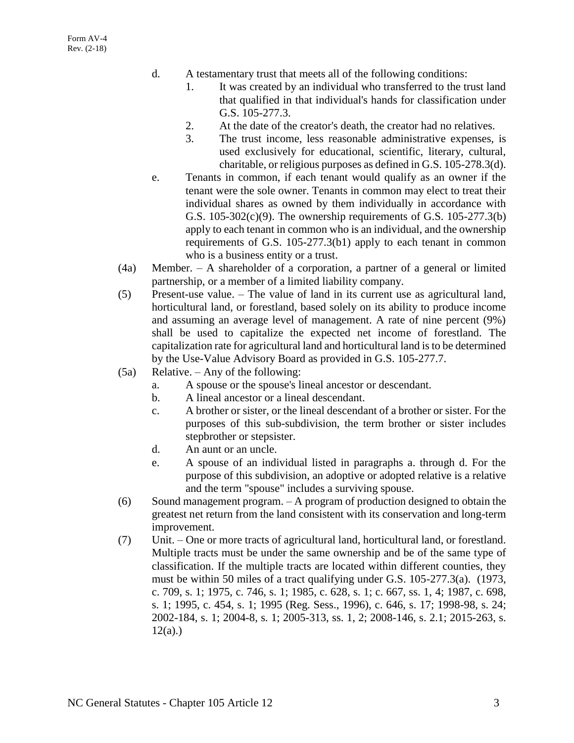- d. A testamentary trust that meets all of the following conditions:
	- 1. It was created by an individual who transferred to the trust land that qualified in that individual's hands for classification under G.S. 105-277.3.
	- 2. At the date of the creator's death, the creator had no relatives.
	- 3. The trust income, less reasonable administrative expenses, is used exclusively for educational, scientific, literary, cultural, charitable, or religious purposes as defined in G.S. 105-278.3(d).
- e. Tenants in common, if each tenant would qualify as an owner if the tenant were the sole owner. Tenants in common may elect to treat their individual shares as owned by them individually in accordance with G.S. 105-302(c)(9). The ownership requirements of G.S. 105-277.3(b) apply to each tenant in common who is an individual, and the ownership requirements of G.S. 105-277.3(b1) apply to each tenant in common who is a business entity or a trust.
- (4a) Member. A shareholder of a corporation, a partner of a general or limited partnership, or a member of a limited liability company.
- (5) Present-use value. The value of land in its current use as agricultural land, horticultural land, or forestland, based solely on its ability to produce income and assuming an average level of management. A rate of nine percent (9%) shall be used to capitalize the expected net income of forestland. The capitalization rate for agricultural land and horticultural land is to be determined by the Use-Value Advisory Board as provided in G.S. 105-277.7.
- (5a) Relative. Any of the following:
	- a. A spouse or the spouse's lineal ancestor or descendant.
	- b. A lineal ancestor or a lineal descendant.
	- c. A brother or sister, or the lineal descendant of a brother or sister. For the purposes of this sub-subdivision, the term brother or sister includes stepbrother or stepsister.
	- d. An aunt or an uncle.
	- e. A spouse of an individual listed in paragraphs a. through d. For the purpose of this subdivision, an adoptive or adopted relative is a relative and the term "spouse" includes a surviving spouse.
- (6) Sound management program. A program of production designed to obtain the greatest net return from the land consistent with its conservation and long-term improvement.
- (7) Unit. One or more tracts of agricultural land, horticultural land, or forestland. Multiple tracts must be under the same ownership and be of the same type of classification. If the multiple tracts are located within different counties, they must be within 50 miles of a tract qualifying under G.S. 105-277.3(a). (1973, c. 709, s. 1; 1975, c. 746, s. 1; 1985, c. 628, s. 1; c. 667, ss. 1, 4; 1987, c. 698, s. 1; 1995, c. 454, s. 1; 1995 (Reg. Sess., 1996), c. 646, s. 17; 1998-98, s. 24; 2002-184, s. 1; 2004-8, s. 1; 2005-313, ss. 1, 2; 2008-146, s. 2.1; 2015-263, s.  $12(a)$ .)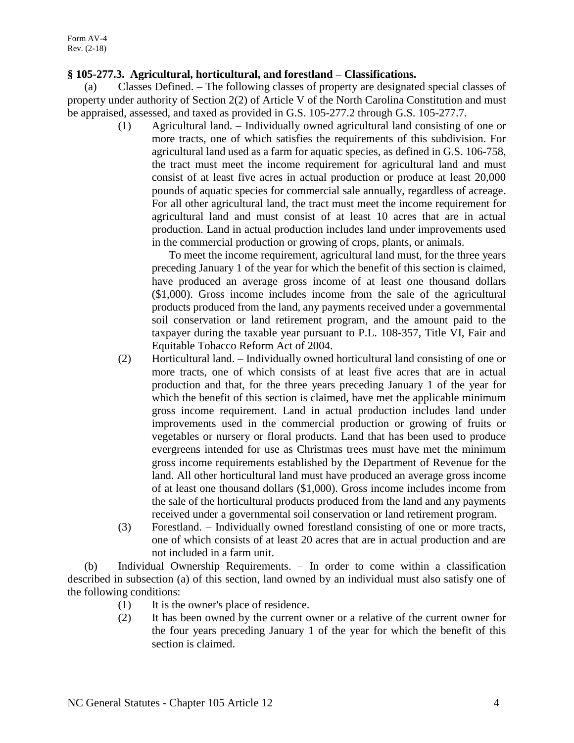# **§ 105-277.3. Agricultural, horticultural, and forestland – Classifications.**

(a) Classes Defined. – The following classes of property are designated special classes of property under authority of Section 2(2) of Article V of the North Carolina Constitution and must be appraised, assessed, and taxed as provided in G.S. 105-277.2 through G.S. 105-277.7.

> (1) Agricultural land. – Individually owned agricultural land consisting of one or more tracts, one of which satisfies the requirements of this subdivision. For agricultural land used as a farm for aquatic species, as defined in G.S. 106-758, the tract must meet the income requirement for agricultural land and must consist of at least five acres in actual production or produce at least 20,000 pounds of aquatic species for commercial sale annually, regardless of acreage. For all other agricultural land, the tract must meet the income requirement for agricultural land and must consist of at least 10 acres that are in actual production. Land in actual production includes land under improvements used in the commercial production or growing of crops, plants, or animals.

To meet the income requirement, agricultural land must, for the three years preceding January 1 of the year for which the benefit of this section is claimed, have produced an average gross income of at least one thousand dollars (\$1,000). Gross income includes income from the sale of the agricultural products produced from the land, any payments received under a governmental soil conservation or land retirement program, and the amount paid to the taxpayer during the taxable year pursuant to P.L. 108-357, Title VI, Fair and Equitable Tobacco Reform Act of 2004.

- (2) Horticultural land. Individually owned horticultural land consisting of one or more tracts, one of which consists of at least five acres that are in actual production and that, for the three years preceding January 1 of the year for which the benefit of this section is claimed, have met the applicable minimum gross income requirement. Land in actual production includes land under improvements used in the commercial production or growing of fruits or vegetables or nursery or floral products. Land that has been used to produce evergreens intended for use as Christmas trees must have met the minimum gross income requirements established by the Department of Revenue for the land. All other horticultural land must have produced an average gross income of at least one thousand dollars (\$1,000). Gross income includes income from the sale of the horticultural products produced from the land and any payments received under a governmental soil conservation or land retirement program.
- (3) Forestland. Individually owned forestland consisting of one or more tracts, one of which consists of at least 20 acres that are in actual production and are not included in a farm unit.

(b) Individual Ownership Requirements. – In order to come within a classification described in subsection (a) of this section, land owned by an individual must also satisfy one of the following conditions:

- (1) It is the owner's place of residence.
- (2) It has been owned by the current owner or a relative of the current owner for the four years preceding January 1 of the year for which the benefit of this section is claimed.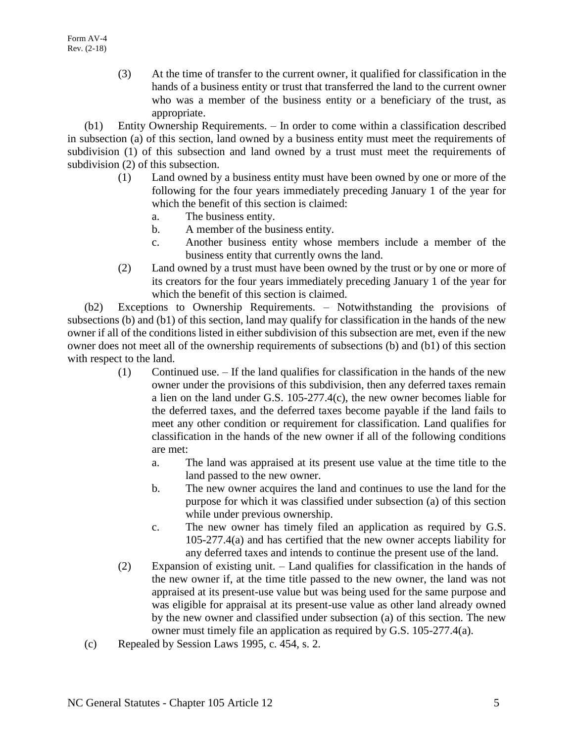(3) At the time of transfer to the current owner, it qualified for classification in the hands of a business entity or trust that transferred the land to the current owner who was a member of the business entity or a beneficiary of the trust, as appropriate.

(b1) Entity Ownership Requirements. – In order to come within a classification described in subsection (a) of this section, land owned by a business entity must meet the requirements of subdivision (1) of this subsection and land owned by a trust must meet the requirements of subdivision (2) of this subsection.

- (1) Land owned by a business entity must have been owned by one or more of the following for the four years immediately preceding January 1 of the year for which the benefit of this section is claimed:
	- a. The business entity.
	- b. A member of the business entity.
	- c. Another business entity whose members include a member of the business entity that currently owns the land.
- (2) Land owned by a trust must have been owned by the trust or by one or more of its creators for the four years immediately preceding January 1 of the year for which the benefit of this section is claimed.

(b2) Exceptions to Ownership Requirements. – Notwithstanding the provisions of subsections (b) and (b1) of this section, land may qualify for classification in the hands of the new owner if all of the conditions listed in either subdivision of this subsection are met, even if the new owner does not meet all of the ownership requirements of subsections (b) and (b1) of this section with respect to the land.

- (1) Continued use. If the land qualifies for classification in the hands of the new owner under the provisions of this subdivision, then any deferred taxes remain a lien on the land under G.S. 105-277.4(c), the new owner becomes liable for the deferred taxes, and the deferred taxes become payable if the land fails to meet any other condition or requirement for classification. Land qualifies for classification in the hands of the new owner if all of the following conditions are met:
	- a. The land was appraised at its present use value at the time title to the land passed to the new owner.
	- b. The new owner acquires the land and continues to use the land for the purpose for which it was classified under subsection (a) of this section while under previous ownership.
	- c. The new owner has timely filed an application as required by G.S. 105-277.4(a) and has certified that the new owner accepts liability for any deferred taxes and intends to continue the present use of the land.
- (2) Expansion of existing unit. Land qualifies for classification in the hands of the new owner if, at the time title passed to the new owner, the land was not appraised at its present-use value but was being used for the same purpose and was eligible for appraisal at its present-use value as other land already owned by the new owner and classified under subsection (a) of this section. The new owner must timely file an application as required by G.S. 105-277.4(a).
- (c) Repealed by Session Laws 1995, c. 454, s. 2.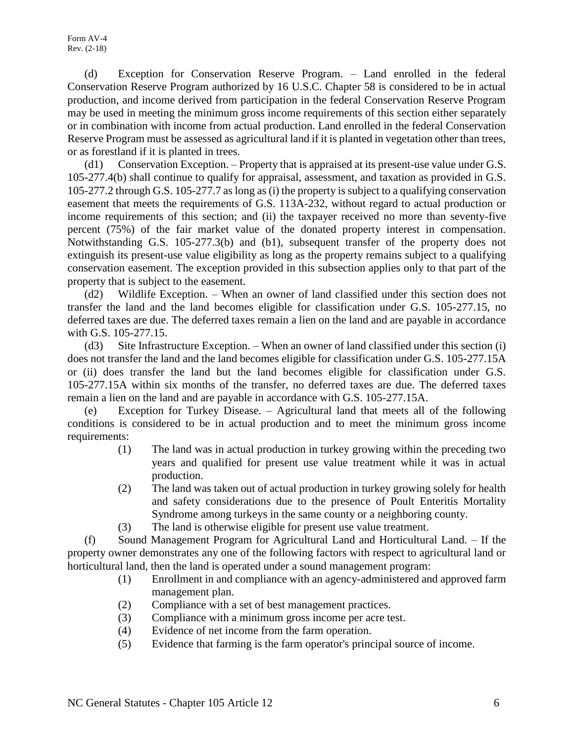(d) Exception for Conservation Reserve Program. – Land enrolled in the federal Conservation Reserve Program authorized by 16 U.S.C. Chapter 58 is considered to be in actual production, and income derived from participation in the federal Conservation Reserve Program may be used in meeting the minimum gross income requirements of this section either separately or in combination with income from actual production. Land enrolled in the federal Conservation Reserve Program must be assessed as agricultural land if it is planted in vegetation other than trees, or as forestland if it is planted in trees.

(d1) Conservation Exception. – Property that is appraised at its present-use value under G.S. 105-277.4(b) shall continue to qualify for appraisal, assessment, and taxation as provided in G.S. 105-277.2 through G.S. 105-277.7 as long as (i) the property is subject to a qualifying conservation easement that meets the requirements of G.S. 113A-232, without regard to actual production or income requirements of this section; and (ii) the taxpayer received no more than seventy-five percent (75%) of the fair market value of the donated property interest in compensation. Notwithstanding G.S. 105-277.3(b) and (b1), subsequent transfer of the property does not extinguish its present-use value eligibility as long as the property remains subject to a qualifying conservation easement. The exception provided in this subsection applies only to that part of the property that is subject to the easement.

(d2) Wildlife Exception. – When an owner of land classified under this section does not transfer the land and the land becomes eligible for classification under G.S. 105-277.15, no deferred taxes are due. The deferred taxes remain a lien on the land and are payable in accordance with G.S. 105-277.15.

(d3) Site Infrastructure Exception. – When an owner of land classified under this section (i) does not transfer the land and the land becomes eligible for classification under G.S. 105-277.15A or (ii) does transfer the land but the land becomes eligible for classification under G.S. 105-277.15A within six months of the transfer, no deferred taxes are due. The deferred taxes remain a lien on the land and are payable in accordance with G.S. 105-277.15A.

(e) Exception for Turkey Disease. – Agricultural land that meets all of the following conditions is considered to be in actual production and to meet the minimum gross income requirements:

- (1) The land was in actual production in turkey growing within the preceding two years and qualified for present use value treatment while it was in actual production.
- (2) The land was taken out of actual production in turkey growing solely for health and safety considerations due to the presence of Poult Enteritis Mortality Syndrome among turkeys in the same county or a neighboring county.
- (3) The land is otherwise eligible for present use value treatment.

(f) Sound Management Program for Agricultural Land and Horticultural Land. – If the property owner demonstrates any one of the following factors with respect to agricultural land or horticultural land, then the land is operated under a sound management program:

- (1) Enrollment in and compliance with an agency-administered and approved farm management plan.
- (2) Compliance with a set of best management practices.
- (3) Compliance with a minimum gross income per acre test.
- (4) Evidence of net income from the farm operation.
- (5) Evidence that farming is the farm operator's principal source of income.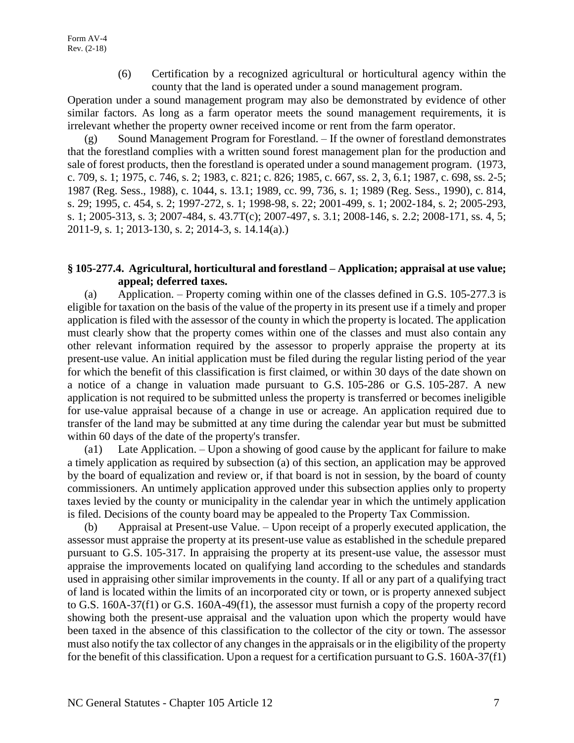(6) Certification by a recognized agricultural or horticultural agency within the county that the land is operated under a sound management program.

Operation under a sound management program may also be demonstrated by evidence of other similar factors. As long as a farm operator meets the sound management requirements, it is irrelevant whether the property owner received income or rent from the farm operator.

(g) Sound Management Program for Forestland. – If the owner of forestland demonstrates that the forestland complies with a written sound forest management plan for the production and sale of forest products, then the forestland is operated under a sound management program. (1973, c. 709, s. 1; 1975, c. 746, s. 2; 1983, c. 821; c. 826; 1985, c. 667, ss. 2, 3, 6.1; 1987, c. 698, ss. 2-5; 1987 (Reg. Sess., 1988), c. 1044, s. 13.1; 1989, cc. 99, 736, s. 1; 1989 (Reg. Sess., 1990), c. 814, s. 29; 1995, c. 454, s. 2; 1997-272, s. 1; 1998-98, s. 22; 2001-499, s. 1; 2002-184, s. 2; 2005-293, s. 1; 2005-313, s. 3; 2007-484, s. 43.7T(c); 2007-497, s. 3.1; 2008-146, s. 2.2; 2008-171, ss. 4, 5; 2011-9, s. 1; 2013-130, s. 2; 2014-3, s. 14.14(a).)

# **§ 105-277.4. Agricultural, horticultural and forestland – Application; appraisal at use value; appeal; deferred taxes.**

(a) Application. – Property coming within one of the classes defined in G.S. 105-277.3 is eligible for taxation on the basis of the value of the property in its present use if a timely and proper application is filed with the assessor of the county in which the property is located. The application must clearly show that the property comes within one of the classes and must also contain any other relevant information required by the assessor to properly appraise the property at its present-use value. An initial application must be filed during the regular listing period of the year for which the benefit of this classification is first claimed, or within 30 days of the date shown on a notice of a change in valuation made pursuant to G.S. 105-286 or G.S. 105-287. A new application is not required to be submitted unless the property is transferred or becomes ineligible for use-value appraisal because of a change in use or acreage. An application required due to transfer of the land may be submitted at any time during the calendar year but must be submitted within 60 days of the date of the property's transfer.

(a1) Late Application. – Upon a showing of good cause by the applicant for failure to make a timely application as required by subsection (a) of this section, an application may be approved by the board of equalization and review or, if that board is not in session, by the board of county commissioners. An untimely application approved under this subsection applies only to property taxes levied by the county or municipality in the calendar year in which the untimely application is filed. Decisions of the county board may be appealed to the Property Tax Commission.

(b) Appraisal at Present-use Value. – Upon receipt of a properly executed application, the assessor must appraise the property at its present-use value as established in the schedule prepared pursuant to G.S. 105-317. In appraising the property at its present-use value, the assessor must appraise the improvements located on qualifying land according to the schedules and standards used in appraising other similar improvements in the county. If all or any part of a qualifying tract of land is located within the limits of an incorporated city or town, or is property annexed subject to G.S. 160A-37(f1) or G.S. 160A-49(f1), the assessor must furnish a copy of the property record showing both the present-use appraisal and the valuation upon which the property would have been taxed in the absence of this classification to the collector of the city or town. The assessor must also notify the tax collector of any changes in the appraisals or in the eligibility of the property for the benefit of this classification. Upon a request for a certification pursuant to G.S. 160A-37(f1)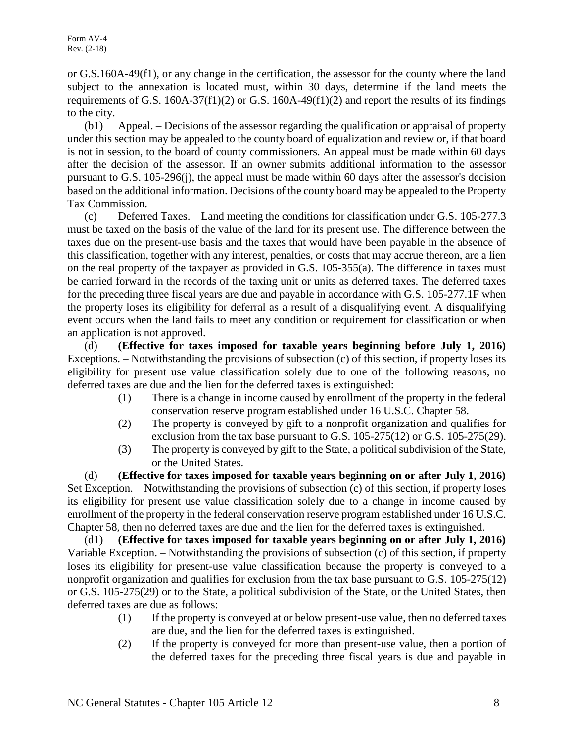or G.S.160A-49(f1), or any change in the certification, the assessor for the county where the land subject to the annexation is located must, within 30 days, determine if the land meets the requirements of G.S.  $160A-37(f1)(2)$  or G.S.  $160A-49(f1)(2)$  and report the results of its findings to the city.

(b1) Appeal. – Decisions of the assessor regarding the qualification or appraisal of property under this section may be appealed to the county board of equalization and review or, if that board is not in session, to the board of county commissioners. An appeal must be made within 60 days after the decision of the assessor. If an owner submits additional information to the assessor pursuant to G.S. 105-296(j), the appeal must be made within 60 days after the assessor's decision based on the additional information. Decisions of the county board may be appealed to the Property Tax Commission.

(c) Deferred Taxes. – Land meeting the conditions for classification under G.S. 105-277.3 must be taxed on the basis of the value of the land for its present use. The difference between the taxes due on the present-use basis and the taxes that would have been payable in the absence of this classification, together with any interest, penalties, or costs that may accrue thereon, are a lien on the real property of the taxpayer as provided in G.S. 105-355(a). The difference in taxes must be carried forward in the records of the taxing unit or units as deferred taxes. The deferred taxes for the preceding three fiscal years are due and payable in accordance with G.S. 105-277.1F when the property loses its eligibility for deferral as a result of a disqualifying event. A disqualifying event occurs when the land fails to meet any condition or requirement for classification or when an application is not approved.

(d) **(Effective for taxes imposed for taxable years beginning before July 1, 2016)** Exceptions. – Notwithstanding the provisions of subsection (c) of this section, if property loses its eligibility for present use value classification solely due to one of the following reasons, no deferred taxes are due and the lien for the deferred taxes is extinguished:

- (1) There is a change in income caused by enrollment of the property in the federal conservation reserve program established under 16 U.S.C. Chapter 58.
- (2) The property is conveyed by gift to a nonprofit organization and qualifies for exclusion from the tax base pursuant to G.S. 105-275(12) or G.S. 105-275(29).
- (3) The property is conveyed by gift to the State, a political subdivision of the State, or the United States.

(d) **(Effective for taxes imposed for taxable years beginning on or after July 1, 2016)** Set Exception. – Notwithstanding the provisions of subsection (c) of this section, if property loses its eligibility for present use value classification solely due to a change in income caused by enrollment of the property in the federal conservation reserve program established under 16 U.S.C. Chapter 58, then no deferred taxes are due and the lien for the deferred taxes is extinguished.

(d1) **(Effective for taxes imposed for taxable years beginning on or after July 1, 2016)** Variable Exception. – Notwithstanding the provisions of subsection (c) of this section, if property loses its eligibility for present-use value classification because the property is conveyed to a nonprofit organization and qualifies for exclusion from the tax base pursuant to G.S. 105-275(12) or G.S. 105-275(29) or to the State, a political subdivision of the State, or the United States, then deferred taxes are due as follows:

- (1) If the property is conveyed at or below present-use value, then no deferred taxes are due, and the lien for the deferred taxes is extinguished.
- (2) If the property is conveyed for more than present-use value, then a portion of the deferred taxes for the preceding three fiscal years is due and payable in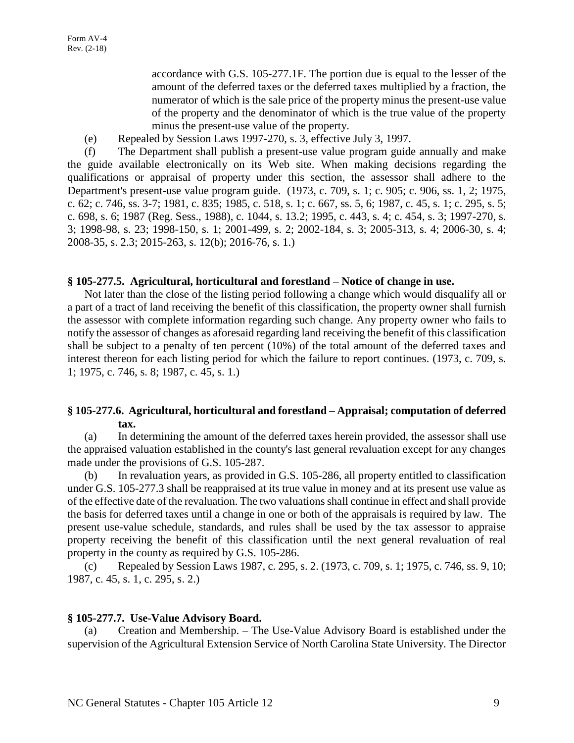accordance with G.S. 105-277.1F. The portion due is equal to the lesser of the amount of the deferred taxes or the deferred taxes multiplied by a fraction, the numerator of which is the sale price of the property minus the present-use value of the property and the denominator of which is the true value of the property minus the present-use value of the property.

(e) Repealed by Session Laws 1997-270, s. 3, effective July 3, 1997.

(f) The Department shall publish a present-use value program guide annually and make the guide available electronically on its Web site. When making decisions regarding the qualifications or appraisal of property under this section, the assessor shall adhere to the Department's present-use value program guide. (1973, c. 709, s. 1; c. 905; c. 906, ss. 1, 2; 1975, c. 62; c. 746, ss. 3-7; 1981, c. 835; 1985, c. 518, s. 1; c. 667, ss. 5, 6; 1987, c. 45, s. 1; c. 295, s. 5; c. 698, s. 6; 1987 (Reg. Sess., 1988), c. 1044, s. 13.2; 1995, c. 443, s. 4; c. 454, s. 3; 1997-270, s. 3; 1998-98, s. 23; 1998-150, s. 1; 2001-499, s. 2; 2002-184, s. 3; 2005-313, s. 4; 2006-30, s. 4; 2008-35, s. 2.3; 2015-263, s. 12(b); 2016-76, s. 1.)

# **§ 105-277.5. Agricultural, horticultural and forestland – Notice of change in use.**

Not later than the close of the listing period following a change which would disqualify all or a part of a tract of land receiving the benefit of this classification, the property owner shall furnish the assessor with complete information regarding such change. Any property owner who fails to notify the assessor of changes as aforesaid regarding land receiving the benefit of this classification shall be subject to a penalty of ten percent (10%) of the total amount of the deferred taxes and interest thereon for each listing period for which the failure to report continues. (1973, c. 709, s. 1; 1975, c. 746, s. 8; 1987, c. 45, s. 1.)

# **§ 105-277.6. Agricultural, horticultural and forestland – Appraisal; computation of deferred tax.**

(a) In determining the amount of the deferred taxes herein provided, the assessor shall use the appraised valuation established in the county's last general revaluation except for any changes made under the provisions of G.S. 105-287.

(b) In revaluation years, as provided in G.S. 105-286, all property entitled to classification under G.S. 105-277.3 shall be reappraised at its true value in money and at its present use value as of the effective date of the revaluation. The two valuations shall continue in effect and shall provide the basis for deferred taxes until a change in one or both of the appraisals is required by law. The present use-value schedule, standards, and rules shall be used by the tax assessor to appraise property receiving the benefit of this classification until the next general revaluation of real property in the county as required by G.S. 105-286.

(c) Repealed by Session Laws 1987, c. 295, s. 2. (1973, c. 709, s. 1; 1975, c. 746, ss. 9, 10; 1987, c. 45, s. 1, c. 295, s. 2.)

# **§ 105-277.7. Use-Value Advisory Board.**

Creation and Membership. – The Use-Value Advisory Board is established under the supervision of the Agricultural Extension Service of North Carolina State University. The Director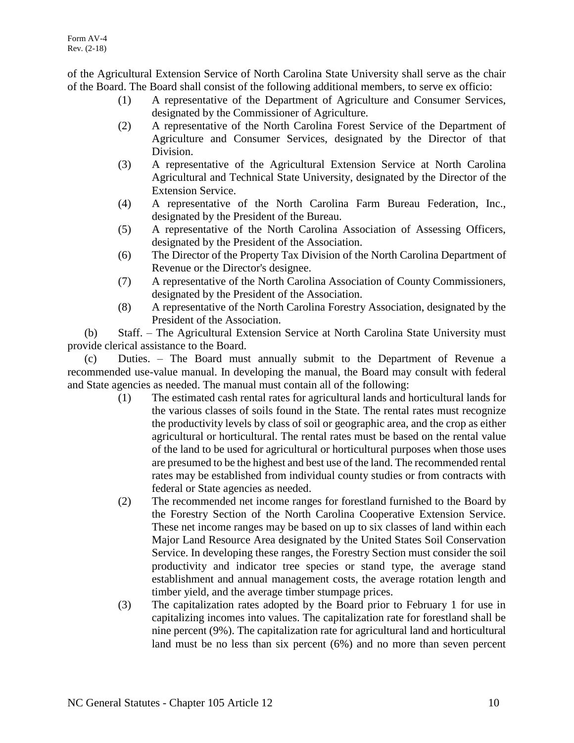of the Agricultural Extension Service of North Carolina State University shall serve as the chair of the Board. The Board shall consist of the following additional members, to serve ex officio:

- (1) A representative of the Department of Agriculture and Consumer Services, designated by the Commissioner of Agriculture.
- (2) A representative of the North Carolina Forest Service of the Department of Agriculture and Consumer Services, designated by the Director of that Division.
- (3) A representative of the Agricultural Extension Service at North Carolina Agricultural and Technical State University, designated by the Director of the Extension Service.
- (4) A representative of the North Carolina Farm Bureau Federation, Inc., designated by the President of the Bureau.
- (5) A representative of the North Carolina Association of Assessing Officers, designated by the President of the Association.
- (6) The Director of the Property Tax Division of the North Carolina Department of Revenue or the Director's designee.
- (7) A representative of the North Carolina Association of County Commissioners, designated by the President of the Association.
- (8) A representative of the North Carolina Forestry Association, designated by the President of the Association.

(b) Staff. – The Agricultural Extension Service at North Carolina State University must provide clerical assistance to the Board.

(c) Duties. – The Board must annually submit to the Department of Revenue a recommended use-value manual. In developing the manual, the Board may consult with federal and State agencies as needed. The manual must contain all of the following:

- (1) The estimated cash rental rates for agricultural lands and horticultural lands for the various classes of soils found in the State. The rental rates must recognize the productivity levels by class of soil or geographic area, and the crop as either agricultural or horticultural. The rental rates must be based on the rental value of the land to be used for agricultural or horticultural purposes when those uses are presumed to be the highest and best use of the land. The recommended rental rates may be established from individual county studies or from contracts with federal or State agencies as needed.
- (2) The recommended net income ranges for forestland furnished to the Board by the Forestry Section of the North Carolina Cooperative Extension Service. These net income ranges may be based on up to six classes of land within each Major Land Resource Area designated by the United States Soil Conservation Service. In developing these ranges, the Forestry Section must consider the soil productivity and indicator tree species or stand type, the average stand establishment and annual management costs, the average rotation length and timber yield, and the average timber stumpage prices.
- (3) The capitalization rates adopted by the Board prior to February 1 for use in capitalizing incomes into values. The capitalization rate for forestland shall be nine percent (9%). The capitalization rate for agricultural land and horticultural land must be no less than six percent (6%) and no more than seven percent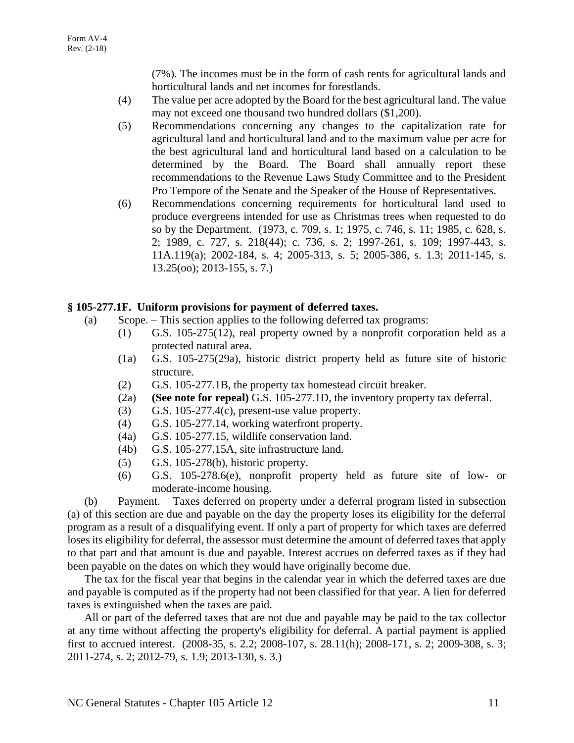(7%). The incomes must be in the form of cash rents for agricultural lands and horticultural lands and net incomes for forestlands.

- (4) The value per acre adopted by the Board for the best agricultural land. The value may not exceed one thousand two hundred dollars (\$1,200).
- (5) Recommendations concerning any changes to the capitalization rate for agricultural land and horticultural land and to the maximum value per acre for the best agricultural land and horticultural land based on a calculation to be determined by the Board. The Board shall annually report these recommendations to the Revenue Laws Study Committee and to the President Pro Tempore of the Senate and the Speaker of the House of Representatives.
- (6) Recommendations concerning requirements for horticultural land used to produce evergreens intended for use as Christmas trees when requested to do so by the Department. (1973, c. 709, s. 1; 1975, c. 746, s. 11; 1985, c. 628, s. 2; 1989, c. 727, s. 218(44); c. 736, s. 2; 1997-261, s. 109; 1997-443, s. 11A.119(a); 2002-184, s. 4; 2005-313, s. 5; 2005-386, s. 1.3; 2011-145, s. 13.25(oo); 2013-155, s. 7.)

# **§ 105-277.1F. Uniform provisions for payment of deferred taxes.**

- (a) Scope. This section applies to the following deferred tax programs:
	- (1) G.S. 105-275(12), real property owned by a nonprofit corporation held as a protected natural area.
	- (1a) G.S. 105-275(29a), historic district property held as future site of historic structure.
	- (2) G.S. 105-277.1B, the property tax homestead circuit breaker.
	- (2a) **(See note for repeal)** G.S. 105-277.1D, the inventory property tax deferral.
	- $(3)$  G.S. 105-277.4(c), present-use value property.
	- (4) G.S. 105-277.14, working waterfront property.
	- (4a) G.S. 105-277.15, wildlife conservation land.
	- (4b) G.S. 105-277.15A, site infrastructure land.
	- (5) G.S. 105-278(b), historic property.
	- (6) G.S. 105-278.6(e), nonprofit property held as future site of low- or moderate-income housing.

(b) Payment. – Taxes deferred on property under a deferral program listed in subsection (a) of this section are due and payable on the day the property loses its eligibility for the deferral program as a result of a disqualifying event. If only a part of property for which taxes are deferred loses its eligibility for deferral, the assessor must determine the amount of deferred taxes that apply to that part and that amount is due and payable. Interest accrues on deferred taxes as if they had been payable on the dates on which they would have originally become due.

The tax for the fiscal year that begins in the calendar year in which the deferred taxes are due and payable is computed as if the property had not been classified for that year. A lien for deferred taxes is extinguished when the taxes are paid.

All or part of the deferred taxes that are not due and payable may be paid to the tax collector at any time without affecting the property's eligibility for deferral. A partial payment is applied first to accrued interest. (2008-35, s. 2.2; 2008-107, s. 28.11(h); 2008-171, s. 2; 2009-308, s. 3; 2011-274, s. 2; 2012-79, s. 1.9; 2013-130, s. 3.)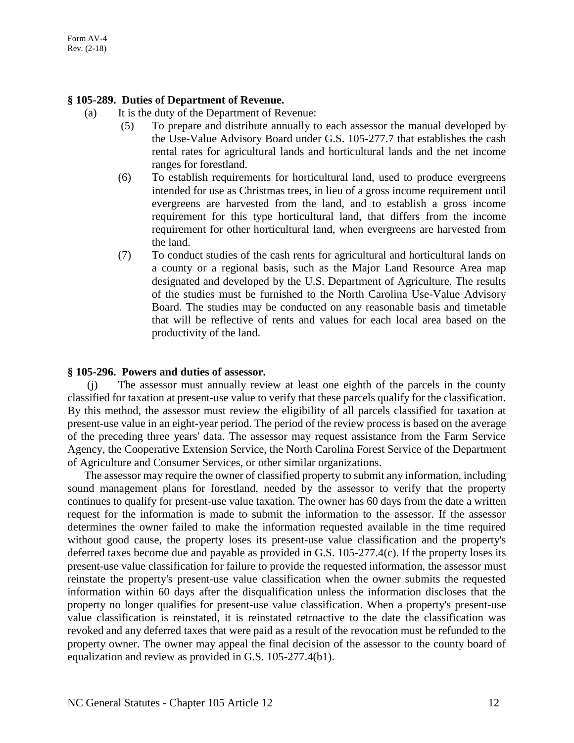#### **§ 105-289. Duties of Department of Revenue.**

- (a) It is the duty of the Department of Revenue:
	- (5) To prepare and distribute annually to each assessor the manual developed by the Use-Value Advisory Board under G.S. 105-277.7 that establishes the cash rental rates for agricultural lands and horticultural lands and the net income ranges for forestland.
	- (6) To establish requirements for horticultural land, used to produce evergreens intended for use as Christmas trees, in lieu of a gross income requirement until evergreens are harvested from the land, and to establish a gross income requirement for this type horticultural land, that differs from the income requirement for other horticultural land, when evergreens are harvested from the land.
	- (7) To conduct studies of the cash rents for agricultural and horticultural lands on a county or a regional basis, such as the Major Land Resource Area map designated and developed by the U.S. Department of Agriculture. The results of the studies must be furnished to the North Carolina Use-Value Advisory Board. The studies may be conducted on any reasonable basis and timetable that will be reflective of rents and values for each local area based on the productivity of the land.

#### **§ 105-296. Powers and duties of assessor.**

(j) The assessor must annually review at least one eighth of the parcels in the county classified for taxation at present-use value to verify that these parcels qualify for the classification. By this method, the assessor must review the eligibility of all parcels classified for taxation at present-use value in an eight-year period. The period of the review process is based on the average of the preceding three years' data. The assessor may request assistance from the Farm Service Agency, the Cooperative Extension Service, the North Carolina Forest Service of the Department of Agriculture and Consumer Services, or other similar organizations.

The assessor may require the owner of classified property to submit any information, including sound management plans for forestland, needed by the assessor to verify that the property continues to qualify for present-use value taxation. The owner has 60 days from the date a written request for the information is made to submit the information to the assessor. If the assessor determines the owner failed to make the information requested available in the time required without good cause, the property loses its present-use value classification and the property's deferred taxes become due and payable as provided in G.S. 105-277.4(c). If the property loses its present-use value classification for failure to provide the requested information, the assessor must reinstate the property's present-use value classification when the owner submits the requested information within 60 days after the disqualification unless the information discloses that the property no longer qualifies for present-use value classification. When a property's present-use value classification is reinstated, it is reinstated retroactive to the date the classification was revoked and any deferred taxes that were paid as a result of the revocation must be refunded to the property owner. The owner may appeal the final decision of the assessor to the county board of equalization and review as provided in G.S. 105-277.4(b1).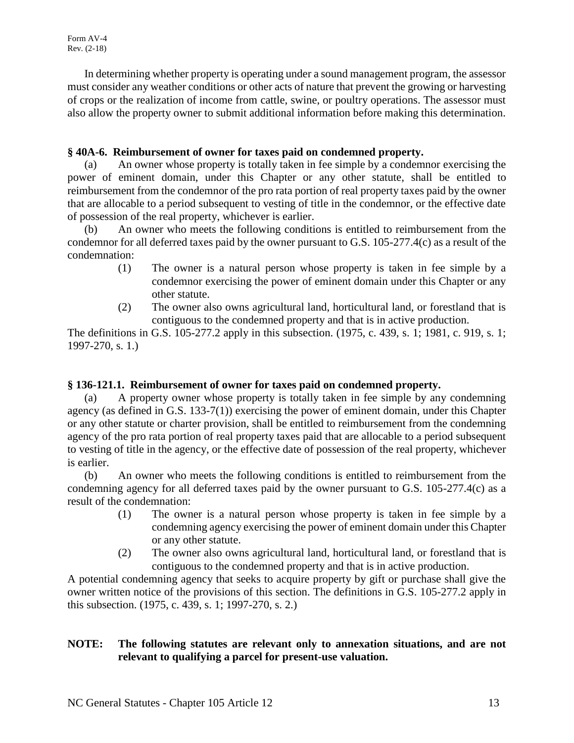In determining whether property is operating under a sound management program, the assessor must consider any weather conditions or other acts of nature that prevent the growing or harvesting of crops or the realization of income from cattle, swine, or poultry operations. The assessor must also allow the property owner to submit additional information before making this determination.

# **§ 40A-6. Reimbursement of owner for taxes paid on condemned property.**

(a) An owner whose property is totally taken in fee simple by a condemnor exercising the power of eminent domain, under this Chapter or any other statute, shall be entitled to reimbursement from the condemnor of the pro rata portion of real property taxes paid by the owner that are allocable to a period subsequent to vesting of title in the condemnor, or the effective date of possession of the real property, whichever is earlier.

(b) An owner who meets the following conditions is entitled to reimbursement from the condemnor for all deferred taxes paid by the owner pursuant to G.S. 105-277.4(c) as a result of the condemnation:

- (1) The owner is a natural person whose property is taken in fee simple by a condemnor exercising the power of eminent domain under this Chapter or any other statute.
- (2) The owner also owns agricultural land, horticultural land, or forestland that is contiguous to the condemned property and that is in active production.

The definitions in G.S. 105-277.2 apply in this subsection. (1975, c. 439, s. 1; 1981, c. 919, s. 1; 1997-270, s. 1.)

# **§ 136-121.1. Reimbursement of owner for taxes paid on condemned property.**

(a) A property owner whose property is totally taken in fee simple by any condemning agency (as defined in G.S. 133-7(1)) exercising the power of eminent domain, under this Chapter or any other statute or charter provision, shall be entitled to reimbursement from the condemning agency of the pro rata portion of real property taxes paid that are allocable to a period subsequent to vesting of title in the agency, or the effective date of possession of the real property, whichever is earlier.

(b) An owner who meets the following conditions is entitled to reimbursement from the condemning agency for all deferred taxes paid by the owner pursuant to G.S. 105-277.4(c) as a result of the condemnation:

- (1) The owner is a natural person whose property is taken in fee simple by a condemning agency exercising the power of eminent domain under this Chapter or any other statute.
- (2) The owner also owns agricultural land, horticultural land, or forestland that is contiguous to the condemned property and that is in active production.

A potential condemning agency that seeks to acquire property by gift or purchase shall give the owner written notice of the provisions of this section. The definitions in G.S. 105-277.2 apply in this subsection. (1975, c. 439, s. 1; 1997-270, s. 2.)

# **NOTE: The following statutes are relevant only to annexation situations, and are not relevant to qualifying a parcel for present-use valuation.**